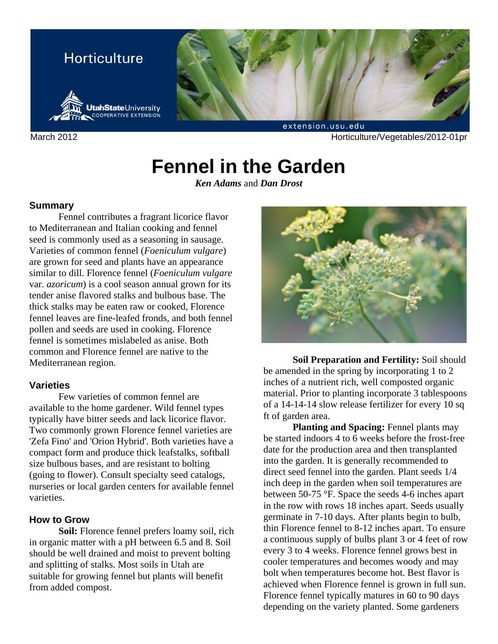

March 2012 **March 2012** Horticulture/Vegetables/2012-01pr

# **Fennel in the Garden**

*Ken Adams* and *Dan Drost*

### **Summary**

Fennel contributes a fragrant licorice flavor to Mediterranean and Italian cooking and fennel seed is commonly used as a seasoning in sausage. Varieties of common fennel (*Foeniculum vulgare*) are grown for seed and plants have an appearance similar to dill. Florence fennel (*Foeniculum vulgare*  var. *azoricum*) is a cool season annual grown for its tender anise flavored stalks and bulbous base. The thick stalks may be eaten raw or cooked, Florence fennel leaves are fine-leafed fronds, and both fennel pollen and seeds are used in cooking. Florence fennel is sometimes mislabeled as anise. Both common and Florence fennel are native to the Mediterranean region.

# **Varieties**

Few varieties of common fennel are available to the home gardener. Wild fennel types typically have bitter seeds and lack licorice flavor. Two commonly grown Florence fennel varieties are 'Zefa Fino' and 'Orion Hybrid'. Both varieties have a compact form and produce thick leafstalks, softball size bulbous bases, and are resistant to bolting (going to flower). Consult specialty seed catalogs, nurseries or local garden centers for available fennel varieties.

# **How to Grow**

**Soil:** Florence fennel prefers loamy soil, rich in organic matter with a pH between 6.5 and 8. Soil should be well drained and moist to prevent bolting and splitting of stalks. Most soils in Utah are suitable for growing fennel but plants will benefit from added compost.



**Soil Preparation and Fertility:** Soil should be amended in the spring by incorporating 1 to 2 inches of a nutrient rich, well composted organic material. Prior to planting incorporate 3 tablespoons of a 14-14-14 slow release fertilizer for every 10 sq ft of garden area.

**Planting and Spacing: Fennel plants may** be started indoors 4 to 6 weeks before the frost-free date for the production area and then transplanted into the garden. It is generally recommended to direct seed fennel into the garden. Plant seeds 1/4 inch deep in the garden when soil temperatures are between 50-75 °F. Space the seeds 4-6 inches apart in the row with rows 18 inches apart. Seeds usually germinate in 7-10 days. After plants begin to bulb, thin Florence fennel to 8-12 inches apart. To ensure a continuous supply of bulbs plant 3 or 4 feet of row every 3 to 4 weeks. Florence fennel grows best in cooler temperatures and becomes woody and may bolt when temperatures become hot. Best flavor is achieved when Florence fennel is grown in full sun. Florence fennel typically matures in 60 to 90 days depending on the variety planted. Some gardeners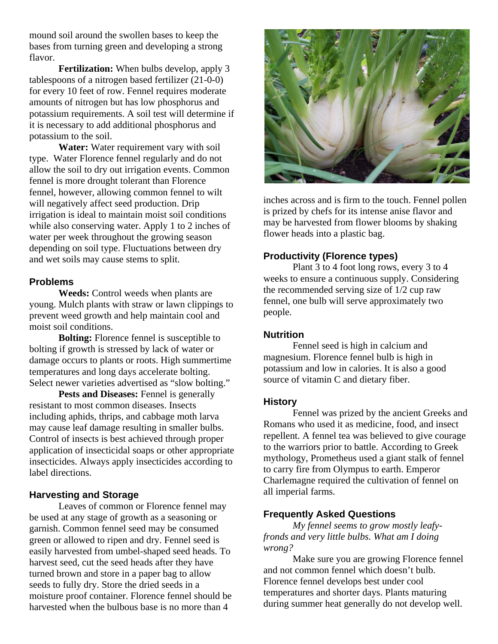mound soil around the swollen bases to keep the bases from turning green and developing a strong flavor.

**Fertilization:** When bulbs develop, apply 3 tablespoons of a nitrogen based fertilizer (21-0-0) for every 10 feet of row. Fennel requires moderate amounts of nitrogen but has low phosphorus and potassium requirements. A soil test will determine if it is necessary to add additional phosphorus and potassium to the soil.

**Water:** Water requirement vary with soil type. Water Florence fennel regularly and do not allow the soil to dry out irrigation events. Common fennel is more drought tolerant than Florence fennel, however, allowing common fennel to wilt will negatively affect seed production. Drip irrigation is ideal to maintain moist soil conditions while also conserving water. Apply 1 to 2 inches of water per week throughout the growing season depending on soil type. Fluctuations between dry and wet soils may cause stems to split.

# **Problems**

**Weeds:** Control weeds when plants are young. Mulch plants with straw or lawn clippings to prevent weed growth and help maintain cool and moist soil conditions.

**Bolting:** Florence fennel is susceptible to bolting if growth is stressed by lack of water or damage occurs to plants or roots. High summertime temperatures and long days accelerate bolting. Select newer varieties advertised as "slow bolting."

**Pests and Diseases:** Fennel is generally resistant to most common diseases. Insects including aphids, thrips, and cabbage moth larva may cause leaf damage resulting in smaller bulbs. Control of insects is best achieved through proper application of insecticidal soaps or other appropriate insecticides. Always apply insecticides according to label directions.

### **Harvesting and Storage**

Leaves of common or Florence fennel may be used at any stage of growth as a seasoning or garnish. Common fennel seed may be consumed green or allowed to ripen and dry. Fennel seed is easily harvested from umbel-shaped seed heads. To harvest seed, cut the seed heads after they have turned brown and store in a paper bag to allow seeds to fully dry. Store the dried seeds in a moisture proof container. Florence fennel should be harvested when the bulbous base is no more than 4



inches across and is firm to the touch. Fennel pollen is prized by chefs for its intense anise flavor and may be harvested from flower blooms by shaking flower heads into a plastic bag.

# **Productivity (Florence types)**

Plant 3 to 4 foot long rows, every 3 to 4 weeks to ensure a continuous supply. Considering the recommended serving size of 1/2 cup raw fennel, one bulb will serve approximately two people.

### **Nutrition**

Fennel seed is high in calcium and magnesium. Florence fennel bulb is high in potassium and low in calories. It is also a good source of vitamin C and dietary fiber.

### **History**

Fennel was prized by the ancient Greeks and Romans who used it as medicine, food, and insect repellent. A fennel tea was believed to give courage to the warriors prior to battle. According to Greek mythology, Prometheus used a giant stalk of fennel to carry fire from Olympus to earth. Emperor Charlemagne required the cultivation of fennel on all imperial farms.

# **Frequently Asked Questions**

*My fennel seems to grow mostly leafyfronds and very little bulbs. What am I doing wrong?*

Make sure you are growing Florence fennel and not common fennel which doesn't bulb. Florence fennel develops best under cool temperatures and shorter days. Plants maturing during summer heat generally do not develop well.